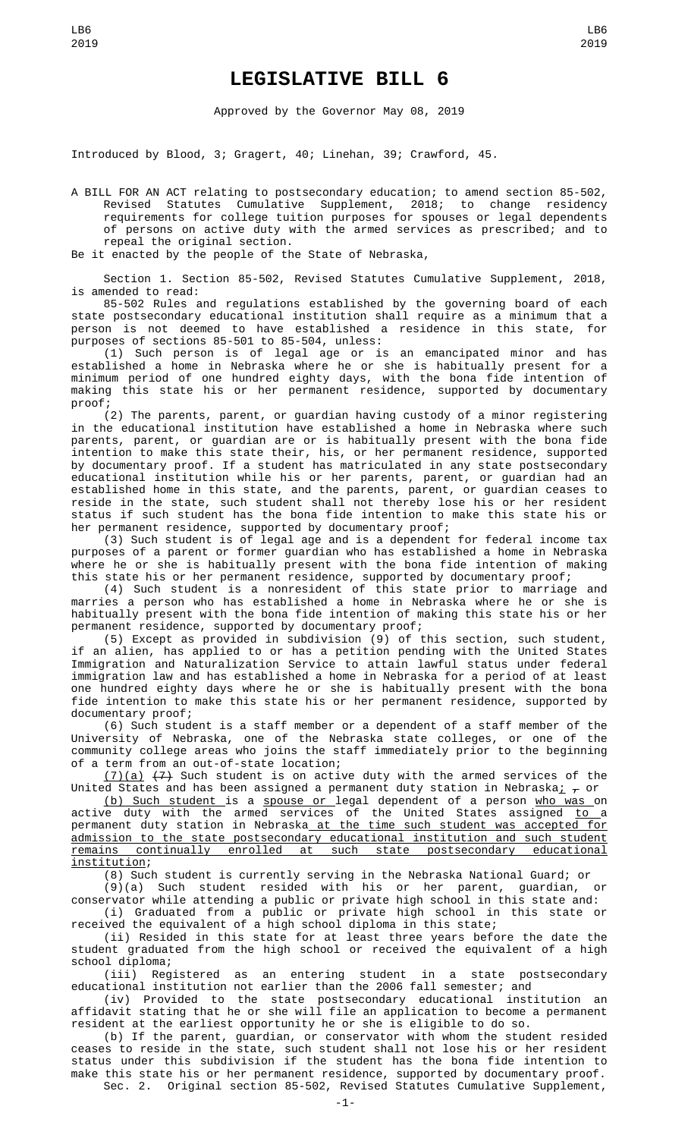## **LEGISLATIVE BILL 6**

Approved by the Governor May 08, 2019

Introduced by Blood, 3; Gragert, 40; Linehan, 39; Crawford, 45.

A BILL FOR AN ACT relating to postsecondary education; to amend section 85-502, Revised Statutes Cumulative Supplement, 2018; to change residency requirements for college tuition purposes for spouses or legal dependents of persons on active duty with the armed services as prescribed; and to repeal the original section.

Be it enacted by the people of the State of Nebraska,

Section 1. Section 85-502, Revised Statutes Cumulative Supplement, 2018, is amended to read:

85-502 Rules and regulations established by the governing board of each state postsecondary educational institution shall require as a minimum that a person is not deemed to have established a residence in this state, for purposes of sections 85-501 to 85-504, unless:

(1) Such person is of legal age or is an emancipated minor and has established a home in Nebraska where he or she is habitually present for a minimum period of one hundred eighty days, with the bona fide intention of making this state his or her permanent residence, supported by documentary proof;

(2) The parents, parent, or guardian having custody of a minor registering in the educational institution have established a home in Nebraska where such parents, parent, or guardian are or is habitually present with the bona fide intention to make this state their, his, or her permanent residence, supported by documentary proof. If a student has matriculated in any state postsecondary educational institution while his or her parents, parent, or guardian had an established home in this state, and the parents, parent, or guardian ceases to reside in the state, such student shall not thereby lose his or her resident status if such student has the bona fide intention to make this state his or her permanent residence, supported by documentary proof;

(3) Such student is of legal age and is a dependent for federal income tax purposes of a parent or former guardian who has established a home in Nebraska where he or she is habitually present with the bona fide intention of making this state his or her permanent residence, supported by documentary proof;

(4) Such student is a nonresident of this state prior to marriage and marries a person who has established a home in Nebraska where he or she is habitually present with the bona fide intention of making this state his or her permanent residence, supported by documentary proof;

(5) Except as provided in subdivision (9) of this section, such student, if an alien, has applied to or has a petition pending with the United States Immigration and Naturalization Service to attain lawful status under federal immigration law and has established a home in Nebraska for a period of at least one hundred eighty days where he or she is habitually present with the bona fide intention to make this state his or her permanent residence, supported by documentary proof;

(6) Such student is a staff member or a dependent of a staff member of the University of Nebraska, one of the Nebraska state colleges, or one of the community college areas who joins the staff immediately prior to the beginning of a term from an out-of-state location;

 $(7)(a)$   $(7)$  Such student is on active duty with the armed services of the United States and has been assigned a permanent duty station in Nebraska<u>;</u>  $_{\mathcal{T}}$  or

(b) Such student is a spouse or legal dependent of a person who was on active duty with the armed services of the United States assigned <u>to a</u> permanent duty station in Nebraska at the time such student was accepted for admission to the state postsecondary educational institution and such student<br>remains continually enrolled at such state postsecondary educational remains continually enrolled at such state postsecondary educational institution;

(8) Such student is currently serving in the Nebraska National Guard; or

(9)(a) Such student resided with his or her parent, guardian, or conservator while attending a public or private high school in this state and: (i) Graduated from a public or private high school in this state or

received the equivalent of a high school diploma in this state;

(ii) Resided in this state for at least three years before the date the student graduated from the high school or received the equivalent of a high school diploma;

(iii) Registered as an entering student in a state postsecondary educational institution not earlier than the 2006 fall semester; and

(iv) Provided to the state postsecondary educational institution an affidavit stating that he or she will file an application to become a permanent resident at the earliest opportunity he or she is eligible to do so.

(b) If the parent, guardian, or conservator with whom the student resided ceases to reside in the state, such student shall not lose his or her resident status under this subdivision if the student has the bona fide intention to make this state his or her permanent residence, supported by documentary proof. Sec. 2. Original section 85-502, Revised Statutes Cumulative Supplement,